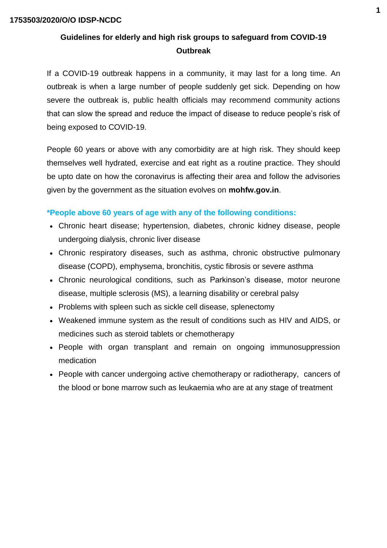## **Guidelines for elderly and high risk groups to safeguard from COVID-19 Outbreak**

If a COVID-19 outbreak happens in a community, it may last for a long time. An outbreak is when a large number of people suddenly get sick. Depending on how severe the outbreak is, public health officials may recommend community actions that can slow the spread and reduce the impact of disease to reduce people's risk of being exposed to COVID-19.

People 60 years or above with any comorbidity are at high risk. They should keep themselves well hydrated, exercise and eat right as a routine practice. They should be upto date on how the coronavirus is [affecting their area](https://www.usnews.com/news/health-news/articles/2020-03-11/south-dakota-california-coronavirus-deaths-put-us-toll-at-31) and follow the advisories given by the government as the situation evolves on **mohfw.gov.in**.

### **\*People above 60 years of age with any of the following conditions:**

- Chronic heart disease; hypertension, diabetes, [chronic kidney disease,](https://www.nhs.uk/conditions/kidney-disease/) people undergoing dialysis, chronic liver disease
- Chronic respiratory diseases, such as [asthma,](https://www.nhs.uk/conditions/asthma/) [chronic obstructive pulmonary](https://www.nhs.uk/conditions/chronic-obstructive-pulmonary-disease-copd/)  [disease \(COPD\),](https://www.nhs.uk/conditions/chronic-obstructive-pulmonary-disease-copd/) emphysema, [bronchitis,](https://www.nhs.uk/conditions/bronchitis/) cystic fibrosis or severe asthma
- Chronic neurological conditions, such as [Parkinson's disease,](https://www.nhs.uk/conditions/parkinsons-disease/) [motor neurone](https://www.nhs.uk/conditions/motor-neurone-disease/)  [disease,](https://www.nhs.uk/conditions/motor-neurone-disease/) [multiple sclerosis \(MS\),](https://www.nhs.uk/conditions/multiple-sclerosis/) a learning disability or cerebral palsy
- Problems with spleen such as [sickle cell](https://www.nhs.uk/conditions/sickle-cell-disease/) disease, splenectomy
- Weakened immune system as the result of conditions such as [HIV and AIDS,](https://www.nhs.uk/conditions/hiv-and-aids/) or medicines such as [steroid tablets](https://www.nhs.uk/conditions/steroids/) or [chemotherapy](https://www.nhs.uk/conditions/chemotherapy/)
- People with organ transplant and remain on ongoing immunosuppression medication
- People with cancer undergoing active chemotherapy or radiotherapy, cancers of the blood or bone marrow such as leukaemia who are at any stage of treatment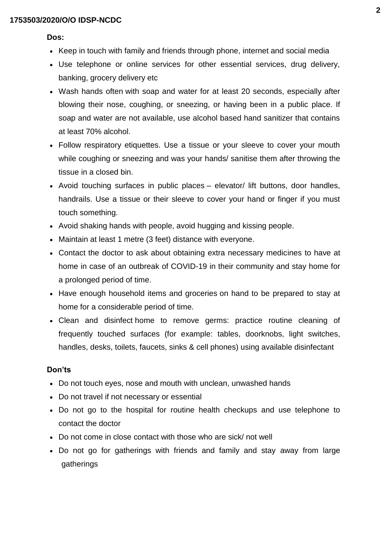#### **Dos:**

- Keep in touch with family and friends through phone, internet and social media
- Use telephone or online services for other essential services, drug delivery, banking, grocery delivery etc
- Wash hands often with soap and water for at least 20 seconds, especially after blowing their nose, coughing, or sneezing, or having been in a public place. If soap and water are not available, use alcohol based hand sanitizer that contains at least 70% alcohol.
- Follow respiratory etiquettes. Use a tissue or your sleeve to cover your mouth while coughing or sneezing and was your hands/ sanitise them after throwing the tissue in a closed bin.
- Avoid touching surfaces in public places elevator/ lift buttons, door handles, handrails. Use a tissue or their sleeve to cover your hand or finger if you must touch something.
- Avoid shaking hands with people, avoid hugging and kissing people.
- Maintain at least 1 metre (3 feet) distance with everyone.
- Contact the doctor to ask about obtaining extra necessary medicines to have at home in case of an outbreak of COVID-19 in their community and stay home for a prolonged period of time.
- Have enough household items and groceries on hand to be prepared to stay at home for a considerable period of time.
- Clean and disinfect home to remove germs: practice routine cleaning of frequently touched surfaces (for example: tables, doorknobs, light switches, handles, desks, toilets, faucets, sinks & cell phones) using available disinfectant

### **Don'ts**

- Do not touch eyes, nose and mouth with unclean, unwashed hands
- Do not travel if not necessary or essential
- Do not go to the hospital for routine health checkups and use telephone to contact the doctor
- Do not come in close contact with those who are sick/ not well
- Do not go for gatherings with friends and family and stay away from large gatherings